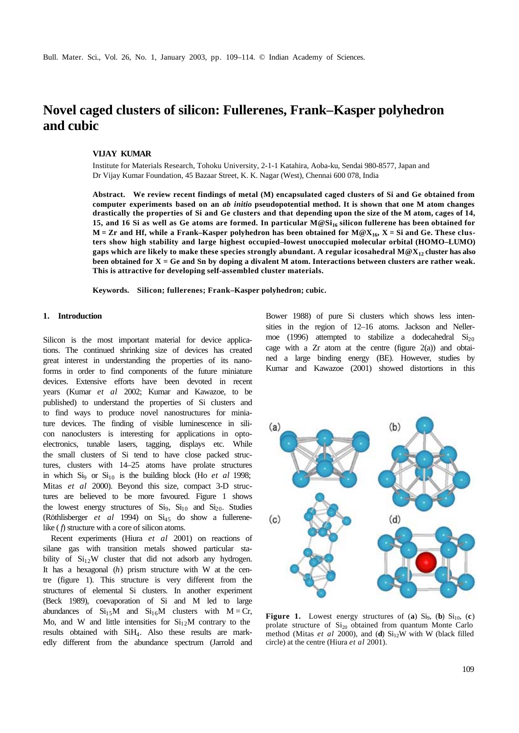# **Novel caged clusters of silicon: Fullerenes, Frank–Kasper polyhedron and cubic**

#### **VIJAY KUMAR**

Institute for Materials Research, Tohoku University, 2-1-1 Katahira, Aoba-ku, Sendai 980-8577, Japan and Dr Vijay Kumar Foundation, 45 Bazaar Street, K. K. Nagar (West), Chennai 600 078, India

**Abstract. We review recent findings of metal (M) encapsulated caged clusters of Si and Ge obtained from computer experiments based on an** *ab initio* **pseudopotential method. It is shown that one M atom changes drastically the properties of Si and Ge clusters and that depending upon the size of the M atom, cages of 14, 15, and 16 Si as well as Ge atoms are formed. In particular M@Si16 silicon fullerene has been obtained for**   $M = Zr$  and Hf, while a Frank–Kasper polyhedron has been obtained for  $M@X_{16}$ ,  $X = Si$  and Ge. These clus**ters show high stability and large highest occupied–lowest unoccupied molecular orbital (HOMO–LUMO) gaps which are likely to make these species strongly abundant. A regular icosahedral M@X12 cluster has also been obtained for X = Ge and Sn by doping a divalent M atom. Interactions between clusters are rather weak. This is attractive for developing self-assembled cluster materials.**

**Keywords. Silicon; fullerenes; Frank–Kasper polyhedron; cubic.**

#### **1. Introduction**

Silicon is the most important material for device applications. The continued shrinking size of devices has created great interest in understanding the properties of its nanoforms in order to find components of the future miniature devices. Extensive efforts have been devoted in recent years (Kumar *et al* 2002; Kumar and Kawazoe, to be published) to understand the properties of Si clusters and to find ways to produce novel nanostructures for miniature devices. The finding of visible luminescence in silicon nanoclusters is interesting for applications in optoelectronics, tunable lasers, tagging, displays etc. While the small clusters of Si tend to have close packed structures, clusters with 14–25 atoms have prolate structures in which  $Si<sub>9</sub>$  or  $Si<sub>10</sub>$  is the building block (Ho *et al* 1998; Mitas *et al* 2000). Beyond this size, compact 3-D structures are believed to be more favoured. Figure 1 shows the lowest energy structures of  $Si<sub>9</sub>$ ,  $Si<sub>10</sub>$  and  $Si<sub>20</sub>$ . Studies (Röthlisberger *et al* 1994) on Si45 do show a fullerenelike (*f*) structure with a core of silicon atoms.

Recent experiments (Hiura *et al* 2001) on reactions of silane gas with transition metals showed particular stability of  $Si<sub>12</sub>W$  cluster that did not adsorb any hydrogen. It has a hexagonal (*h*) prism structure with W at the centre (figure 1). This structure is very different from the structures of elemental Si clusters. In another experiment (Beck 1989), coevaporation of Si and M led to large abundances of  $Si<sub>15</sub>M$  and  $Si<sub>16</sub>M$  clusters with  $M = Cr$ , Mo, and W and little intensities for  $Si<sub>12</sub>M$  contrary to the results obtained with SiH4. Also these results are markedly different from the abundance spectrum (Jarrold and Bower 1988) of pure Si clusters which shows less intensities in the region of 12–16 atoms. Jackson and Nellermoe (1996) attempted to stabilize a dodecahedral  $Si<sub>20</sub>$ cage with a  $Zr$  atom at the centre (figure  $2(a)$ ) and obtained a large binding energy (BE). However, studies by Kumar and Kawazoe (2001) showed distortions in this



**Figure 1.** Lowest energy structures of (a)  $Si<sub>9</sub>$ , (b)  $Si<sub>10</sub>$ , (c) prolate structure of  $Si<sub>20</sub>$  obtained from quantum Monte Carlo method (Mitas  $et$  al 2000), and (**d**)  $Si<sub>12</sub>W$  with W (black filled circle) at the centre (Hiura *et al* 2001).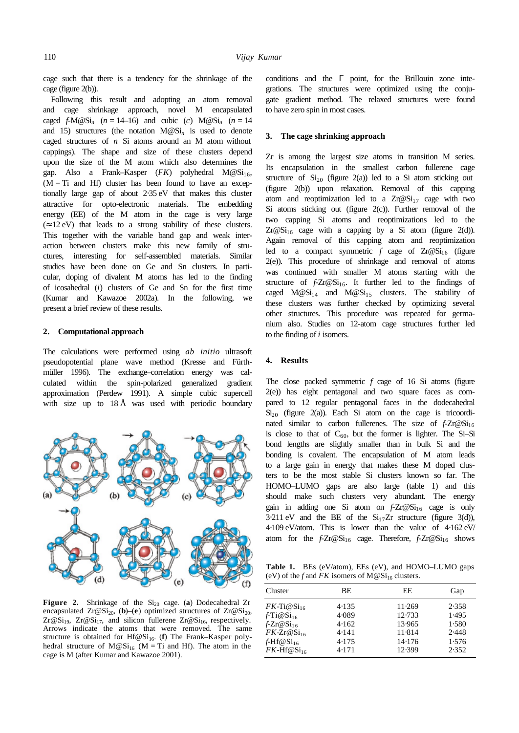cage such that there is a tendency for the shrinkage of the cage (figure 2(b)).

Following this result and adopting an atom removal and cage shrinkage approach, novel M encapsulated caged  $f-M@Si_n$  ( $n = 14–16$ ) and cubic (*c*)  $M@Si_n$  ( $n = 14$ and 15) structures (the notation  $M@Si<sub>n</sub>$  is used to denote caged structures of *n* Si atoms around an M atom without cappings). The shape and size of these clusters depend upon the size of the M atom which also determines the gap. Also a Frank–Kasper  $(FK)$  polyhedral  $M@Si<sub>16</sub>$ ,  $(M = Ti$  and Hf) cluster has been found to have an exceptionally large gap of about 2⋅35 eV that makes this cluster attractive for opto-electronic materials. The embedding energy (EE) of the M atom in the cage is very large  $(\approx 12 \text{ eV})$  that leads to a strong stability of these clusters. This together with the variable band gap and weak interaction between clusters make this new family of structures, interesting for self-assembled materials. Similar studies have been done on Ge and Sn clusters. In particular, doping of divalent M atoms has led to the finding of icosahedral (*i*) clusters of Ge and Sn for the first time (Kumar and Kawazoe 2002a). In the following, we present a brief review of these results.

## **2. Computational approach**

The calculations were performed using *ab initio* ultrasoft pseudopotential plane wave method (Kresse and Fürthmüller 1996). The exchange–correlation energy was calculated within the spin-polarized generalized gradient approximation (Perdew 1991). A simple cubic supercell with size up to 18 Å was used with periodic boundary



Figure 2. Shrinkage of the Si<sub>20</sub> cage. (a) Dodecahedral Zr encapsulated  $Zr@Si_{20}$ , (**b**)–(**e**) optimized structures of  $Zr@Si_{20}$ ,  $Zr@Si_{19}$ ,  $Zr@Si_{17}$ , and silicon fullerene  $Zr@Si_{16}$ , respectively. Arrows indicate the atoms that were removed. The same structure is obtained for Hf@Si<sub>16</sub>. (**f**) The Frank–Kasper polyhedral structure of  $M@Si_{16}$  (M = Ti and Hf). The atom in the cage is M (after Kumar and Kawazoe 2001).

conditions and the Γ point, for the Brillouin zone integrations. The structures were optimized using the conjugate gradient method. The relaxed structures were found to have zero spin in most cases.

#### **3. The cage shrinking approach**

Zr is among the largest size atoms in transition M series. Its encapsulation in the smallest carbon fullerene cage structure of  $Si<sub>20</sub>$  (figure 2(a)) led to a Si atom sticking out (figure 2(b)) upon relaxation. Removal of this capping atom and reoptimization led to a  $Zr@Si_{17}$  cage with two Si atoms sticking out (figure 2(c)). Further removal of the two capping Si atoms and reoptimizations led to the  $Zr@Si<sub>16</sub> cage with a capping by a Si atom (figure 2(d)).$ Again removal of this capping atom and reoptimization led to a compact symmetric  $f$  cage of  $Zr@Si_{16}$  (figure 2(e)). This procedure of shrinkage and removal of atoms was continued with smaller M atoms starting with the structure of  $f-Zr@Si<sub>16</sub>$ . It further led to the findings of caged  $M@Si_{14}$  and  $M@Si_{15}$  clusters. The stability of these clusters was further checked by optimizing several other structures. This procedure was repeated for germanium also. Studies on 12-atom cage structures further led to the finding of *i* isomers.

#### **4. Results**

The close packed symmetric *f* cage of 16 Si atoms (figure 2(e)) has eight pentagonal and two square faces as compared to 12 regular pentagonal faces in the dodecahedral  $Si<sub>20</sub>$  (figure 2(a)). Each Si atom on the cage is tricoordinated similar to carbon fullerenes. The size of  $f-Zr@Si<sub>16</sub>$ is close to that of  $C_{60}$ , but the former is lighter. The Si-Si bond lengths are slightly smaller than in bulk Si and the bonding is covalent. The encapsulation of M atom leads to a large gain in energy that makes these M doped clusters to be the most stable Si clusters known so far. The HOMO–LUMO gaps are also large (table 1) and this should make such clusters very abundant. The energy gain in adding one Si atom on  $f-Zr@Si_{16}$  cage is only  $3.211 \text{ eV}$  and the BE of the  $Si_{17}Zr$  structure (figure 3(d)), 4⋅109 eV/atom. This is lower than the value of 4⋅162 eV/ atom for the  $f-Zr@Si_{16}$  cage. Therefore,  $f-Zr@Si_{16}$  shows

**Table 1.** BEs (eV/atom), EEs (eV), and HOMO–LUMO gaps (eV) of the *f* and *FK* isomers of  $M@Si_{16}$  clusters.

| Cluster                     | BE.   | EE.    | Gap   |
|-----------------------------|-------|--------|-------|
| $FK$ -Ti $@Si16$            | 4.135 | 11.269 | 2.358 |
| $f$ -Ti $@Si$ <sub>16</sub> | 4.089 | 12.733 | 1.495 |
| $f-Zr@Si_{16}$              | 4.162 | 13.965 | 1.580 |
| $FK-Zr@Si16$                | 4.141 | 11.814 | 2.448 |
| $f$ -Hf@Si <sub>16</sub>    | 4.175 | 14.176 | 1.576 |
| $FK-Hf@Si16$                | 4.171 | 12.399 | 2.352 |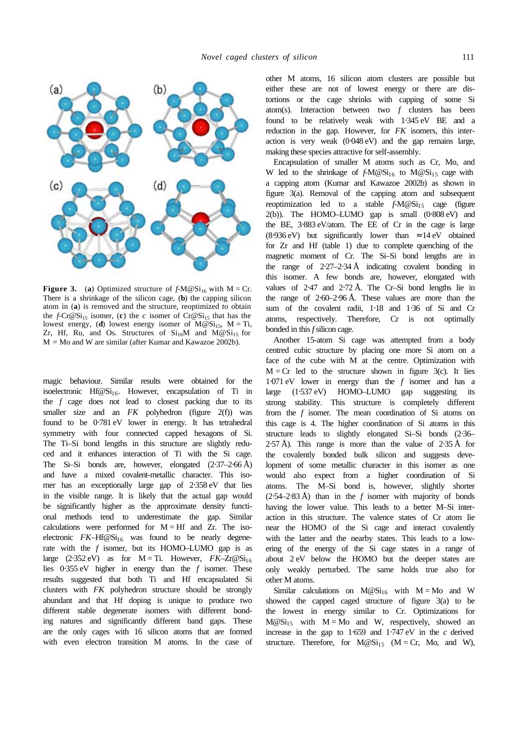

**Figure 3.** (a) Optimized structure of  $f-M \otimes Si_{16}$  with  $M = Cr$ . There is a shrinkage of the silicon cage, (**b**) the capping silicon atom in (**a**) is removed and the structure, reoptimized to obtain the *f*-Cr@Si<sub>15</sub> isomer, (**c**) the *c* isomer of Cr@Si<sub>15</sub> that has the lowest energy, (**d**) lowest energy isomer of  $M@Si<sub>15</sub>$ ,  $M = Ti$ , Zr, Hf, Ru, and Os. Structures of  $Si<sub>16</sub>M$  and  $\overline{M} \otimes Si<sub>15</sub>$  for  $M = Mo$  and W are similar (after Kumar and Kawazoe 2002b).

magic behaviour. Similar results were obtained for the isoelectronic Hf $@Si_{16}$ . However, encapsulation of Ti in the *f* cage does not lead to closest packing due to its smaller size and an *FK* polyhedron (figure 2(f)) was found to be  $0.781$  eV lower in energy. It has tetrahedral symmetry with four connected capped hexagons of Si. The Ti–Si bond lengths in this structure are slightly reduced and it enhances interaction of Ti with the Si cage. The Si–Si bonds are, however, elongated (2⋅37–2⋅66 Å) and have a mixed covalent-metallic character. This isomer has an exceptionally large gap of 2⋅358 eV that lies in the visible range. It is likely that the actual gap would be significantly higher as the approximate density functional methods tend to underestimate the gap. Similar calculations were performed for  $M = Hf$  and  $Zr$ . The isoelectronic  $FK-Hf@Si<sub>16</sub>$  was found to be nearly degenerate with the *f* isomer, but its HOMO–LUMO gap is as large  $(2.352 \text{ eV})$  as for M = Ti. However,  $FK-Zr@Si<sub>16</sub>$ lies 0⋅355 eV higher in energy than the *f* isomer. These results suggested that both Ti and Hf encapsulated Si clusters with *FK* polyhedron structure should be strongly abundant and that Hf doping is unique to produce two different stable degenerate isomers with different bonding natures and significantly different band gaps. These are the only cages with 16 silicon atoms that are formed with even electron transition M atoms. In the case of other M atoms, 16 silicon atom clusters are possible but either these are not of lowest energy or there are distortions or the cage shrinks with capping of some Si atom(s). Interaction between two *f* clusters has been found to be relatively weak with 1⋅345 eV BE and a reduction in the gap. However, for *FK* isomers, this interaction is very weak (0⋅048 eV) and the gap remains large, making these species attractive for self-assembly.

Encapsulation of smaller M atoms such as Cr, Mo, and W led to the shrinkage of  $f-M@Si_{16}$  to  $M@Si_{15}$  cage with a capping atom (Kumar and Kawazoe 2002b) as shown in figure 3(a). Removal of the capping atom and subsequent reoptimization led to a stable  $f-M@Si<sub>15</sub>$  cage (figure 2(b)). The HOMO–LUMO gap is small (0⋅808 eV) and the BE, 3⋅883 eV/atom. The EE of Cr in the cage is large (8⋅936 eV) but significantly lower than  $\approx 14 \text{ eV}$  obtained for Zr and Hf (table 1) due to complete quenching of the magnetic moment of Cr. The Si–Si bond lengths are in the range of  $2.27-2.34 \text{ Å}$  indicating covalent bonding in this isomer. A few bonds are, however, elongated with values of 2⋅47 and 2⋅72 Å. The Cr–Si bond lengths lie in the range of 2⋅60–2⋅96 Å. These values are more than the sum of the covalent radii, 1⋅18 and 1⋅36 of Si and Cr atoms, respectively. Therefore, Cr is not optimally bonded in this *f* silicon cage.

Another 15-atom Si cage was attempted from a body centred cubic structure by placing one more Si atom on a face of the cube with M at the centre. Optimization with  $M = Cr$  led to the structure shown in figure 3(c). It lies 1⋅071 eV lower in energy than the *f* isomer and has a large (1⋅537 eV) HOMO–LUMO gap suggesting its strong stability. This structure is completely different from the *f* isomer. The mean coordination of Si atoms on this cage is 4. The higher coordination of Si atoms in this structure leads to slightly elongated Si–Si bonds (2⋅36– 2⋅57 Å). This range is more than the value of  $2·35$  Å for the covalently bonded bulk silicon and suggests development of some metallic character in this isomer as one would also expect from a higher coordination of Si atoms. The M–Si bond is, however, slightly shorter  $(2.54-2.83 \text{ Å})$  than in the *f* isomer with majority of bonds having the lower value. This leads to a better M–Si interaction in this structure. The valence states of Cr atom lie near the HOMO of the Si cage and interact covalently with the latter and the nearby states. This leads to a lowering of the energy of the Si cage states in a range of about 2 eV below the HOMO but the deeper states are only weakly perturbed. The same holds true also for other M atoms.

Similar calculations on  $M@Si_{16}$  with  $M = Mo$  and W showed the capped caged structure of figure 3(a) to be the lowest in energy similar to Cr. Optimizations for  $M@Si<sub>15</sub>$  with  $M = Mo$  and W, respectively, showed an increase in the gap to 1⋅659 and 1⋅747 eV in the *c* derived structure. Therefore, for  $M@Si_{15}$  (M = Cr, Mo, and W),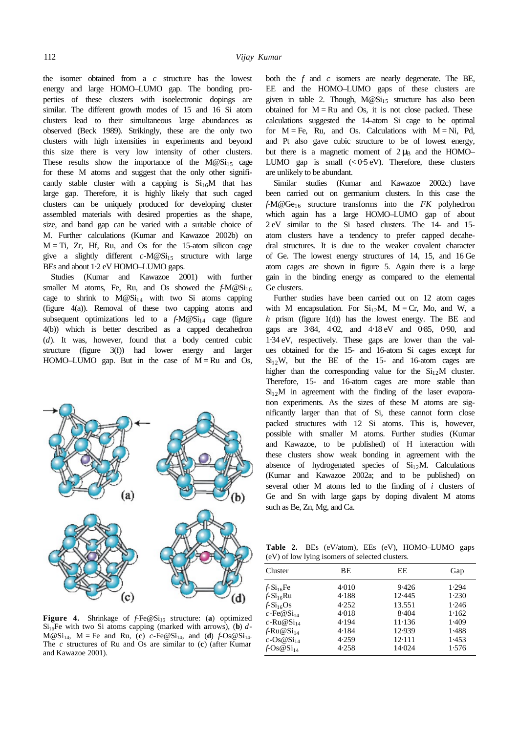the isomer obtained from a *c* structure has the lowest energy and large HOMO–LUMO gap. The bonding properties of these clusters with isoelectronic dopings are similar. The different growth modes of 15 and 16 Si atom clusters lead to their simultaneous large abundances as observed (Beck 1989). Strikingly, these are the only two clusters with high intensities in experiments and beyond this size there is very low intensity of other clusters. These results show the importance of the  $M@Si<sub>15</sub>$  cage for these M atoms and suggest that the only other significantly stable cluster with a capping is  $Si<sub>16</sub>M$  that has large gap. Therefore, it is highly likely that such caged clusters can be uniquely produced for developing cluster assembled materials with desired properties as the shape, size, and band gap can be varied with a suitable choice of M. Further calculations (Kumar and Kawazoe 2002b) on  $M = Ti$ ,  $Zr$ ,  $Hf$ ,  $Ru$ , and  $Os$  for the 15-atom silicon cage give a slightly different  $c-M@Si_{15}$  structure with large BEs and about 1⋅2 eV HOMO–LUMO gaps.

Studies (Kumar and Kawazoe 2001) with further smaller M atoms, Fe, Ru, and Os showed the  $f-M@Si<sub>16</sub>$ cage to shrink to  $M@Si<sub>14</sub>$  with two Si atoms capping (figure 4(a)). Removal of these two capping atoms and subsequent optimizations led to a  $f-M@Si<sub>14</sub>$  cage (figure 4(b)) which is better described as a capped decahedron (*d*). It was, however, found that a body centred cubic structure (figure 3(f)) had lower energy and larger HOMO–LUMO gap. But in the case of  $M = Ru$  and Os,



Figure 4. Shrinkage of *f*-Fe@Si<sub>16</sub> structure: (a) optimized  $Si<sub>16</sub>Fe$  with two Si atoms capping (marked with arrows), (**b**) *d*- $M@Si<sub>14</sub>, M = Fe$  and Ru, (c) *c*-Fe@Si<sub>14</sub>, and (d)  $f-Os@Si<sub>14</sub>$ . The *c* structures of Ru and Os are similar to (**c**) (after Kumar and Kawazoe 2001).

both the *f* and *c* isomers are nearly degenerate. The BE, EE and the HOMO–LUMO gaps of these clusters are given in table 2. Though,  $M@Si_{15}$  structure has also been obtained for  $M = Ru$  and Os, it is not close packed. These calculations suggested the 14-atom Si cage to be optimal for  $M = Fe$ , Ru, and Os. Calculations with  $M = Ni$ , Pd, and Pt also gave cubic structure to be of lowest energy, but there is a magnetic moment of  $2 \mu_B$  and the HOMO– LUMO gap is small  $\left( < 0.5 \text{ eV} \right)$ . Therefore, these clusters are unlikely to be abundant.

Similar studies (Kumar and Kawazoe 2002c) have been carried out on germanium clusters. In this case the *f*-M@Ge16 structure transforms into the *FK* polyhedron which again has a large HOMO–LUMO gap of about 2 eV similar to the Si based clusters. The 14- and 15 atom clusters have a tendency to prefer capped decahedral structures. It is due to the weaker covalent character of Ge. The lowest energy structures of 14, 15, and 16 Ge atom cages are shown in figure 5. Again there is a large gain in the binding energy as compared to the elemental Ge clusters.

Further studies have been carried out on 12 atom cages with M encapsulation. For  $Si<sub>12</sub>M$ ,  $M = Cr$ , Mo, and W, a *h* prism (figure 1(d)) has the lowest energy. The BE and gaps are 3⋅84, 4⋅02, and 4⋅18 eV and 0⋅85, 0⋅90, and 1⋅34 eV, respectively. These gaps are lower than the values obtained for the 15- and 16-atom Si cages except for  $Si<sub>12</sub>W$ , but the BE of the 15- and 16-atom cages are higher than the corresponding value for the  $Si<sub>12</sub>M$  cluster. Therefore, 15- and 16-atom cages are more stable than  $Si<sub>12</sub>M$  in agreement with the finding of the laser evaporation experiments. As the sizes of these M atoms are significantly larger than that of Si, these cannot form close packed structures with 12 Si atoms. This is, however, possible with smaller M atoms. Further studies (Kumar and Kawazoe, to be published) of H interaction with these clusters show weak bonding in agreement with the absence of hydrogenated species of  $Si<sub>12</sub>M$ . Calculations (Kumar and Kawazoe 2002a; and to be published) on several other M atoms led to the finding of *i* clusters of Ge and Sn with large gaps by doping divalent M atoms such as Be, Zn, Mg, and Ca.

**Table 2.** BEs (eV/atom), EEs (eV), HOMO–LUMO gaps (eV) of low lying isomers of selected clusters.

| Cluster                        | BE    | EE     | Gap   |
|--------------------------------|-------|--------|-------|
| $f-Si_{16}Fe$                  | 4.010 | 9.426  | 1.294 |
| $f-Si_{16}Ru$                  | 4.188 | 12.445 | 1.230 |
| $f-Si_{16}Os$                  | 4.252 | 13.551 | 1.246 |
| $c$ -Fe@Si <sub>14</sub>       | 4.018 | 8.404  | 1.162 |
| c-Ru $@Si_{14}$                | 4.194 | 11.136 | 1.409 |
| $f-Ru@Si14$                    | 4.184 | 12.939 | 1.488 |
| $c$ -Os@Si <sub>14</sub>       | 4.259 | 12.111 | 1.453 |
| $f-\cos\omega S$ <sub>14</sub> | 4.258 | 14.024 | 1.576 |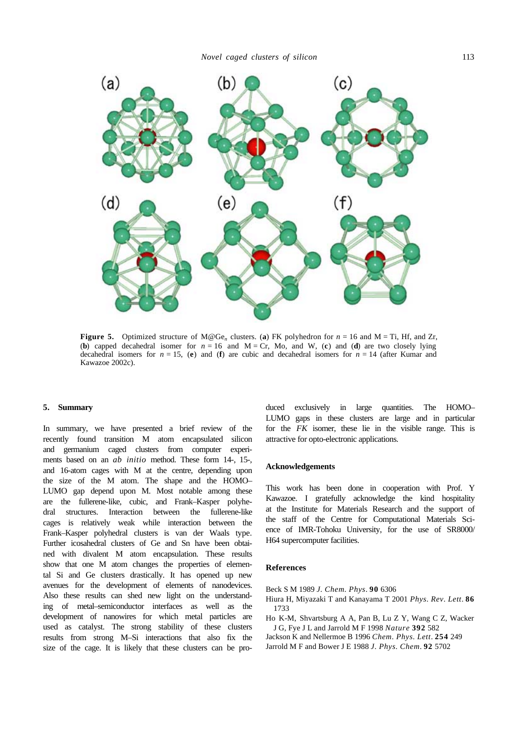

**Figure 5.** Optimized structure of  $M@Ge_n$  clusters. (a) FK polyhedron for  $n = 16$  and  $M = Ti$ , Hf, and Zr, (**b**) capped decahedral isomer for  $n = 16$  and  $M = Cr$ , Mo, and W, (**c**) and (**d**) are two closely lying decahedral isomers for  $n = 15$ , (**e**) and (**f**) are cubic and decahedral isomers for  $n = 14$  (after Kumar and Kawazoe 2002c).

# **5. Summary**

In summary, we have presented a brief review of the recently found transition M atom encapsulated silicon and germanium caged clusters from computer experiments based on an *ab initio* method. These form 14-, 15-, and 16-atom cages with M at the centre, depending upon the size of the M atom. The shape and the HOMO– LUMO gap depend upon M. Most notable among these are the fullerene-like, cubic, and Frank–Kasper polyhedral structures. Interaction between the fullerene-like cages is relatively weak while interaction between the Frank–Kasper polyhedral clusters is van der Waals type. Further icosahedral clusters of Ge and Sn have been obtained with divalent M atom encapsulation. These results show that one M atom changes the properties of elemental Si and Ge clusters drastically. It has opened up new avenues for the development of elements of nanodevices. Also these results can shed new light on the understanding of metal–semiconductor interfaces as well as the development of nanowires for which metal particles are used as catalyst. The strong stability of these clusters results from strong M–Si interactions that also fix the size of the cage. It is likely that these clusters can be pro-

duced exclusively in large quantities. The HOMO– LUMO gaps in these clusters are large and in particular for the *FK* isomer, these lie in the visible range. This is attractive for opto-electronic applications.

### **Acknowledgements**

This work has been done in cooperation with Prof. Y Kawazoe. I gratefully acknowledge the kind hospitality at the Institute for Materials Research and the support of the staff of the Centre for Computational Materials Science of IMR-Tohoku University, for the use of SR8000/ H64 supercomputer facilities.

# **References**

Beck S M 1989 *J. Chem. Phys*. **90** 6306

- Hiura H, Miyazaki T and Kanayama T 2001 *Phys. Rev. Lett*. **86** 1733
- Ho K-M, Shvartsburg A A, Pan B, Lu Z Y, Wang C Z, Wacker J G, Fye J L and Jarrold M F 1998 *Nature* **392** 582
- Jackson K and Nellermoe B 1996 *Chem. Phys. Lett*. **254** 249 Jarrold M F and Bower J E 1988 *J. Phys. Chem*. **92** 5702